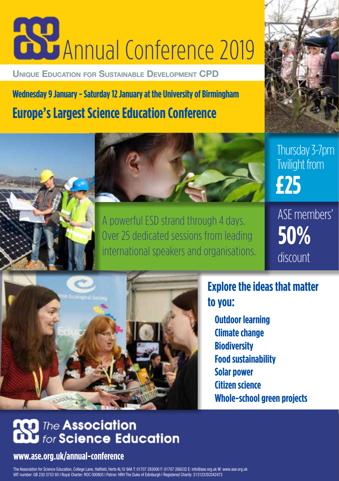# **Annual Conference 2019**

**Unique Education for Sustainable Development CPD**

**Wednesday 9 January - Saturday 12 January at the University of Birmingham Europe's Largest Science Education Conference**



Thursday 3-7pm Twilight from **£25**



Over 25 dedicated sessions from leading international speakers and organisations. ASE members' **discount 50%**



**Explore the ideas that matter to you:**

**Outdoor learning Climate change Biodiversity Food sustainability Solar power Citizen science Whole-school green projects**

### **D** The Association for Science Education

#### **www.ase.org.uk/annual-conference**

The Association for Science Education, College Lane, Hatfield, Herts AL10 9AA T: 01707 283000 F: 01707 266532 E: info@ase.org.uk W: www.ase.org.uk VAT number: GB 230 3753 93 I Royal Charter: ROC 000805 I Patron: HRH The Duke of Edinburgh I Registered Charity: 313123/SC042473